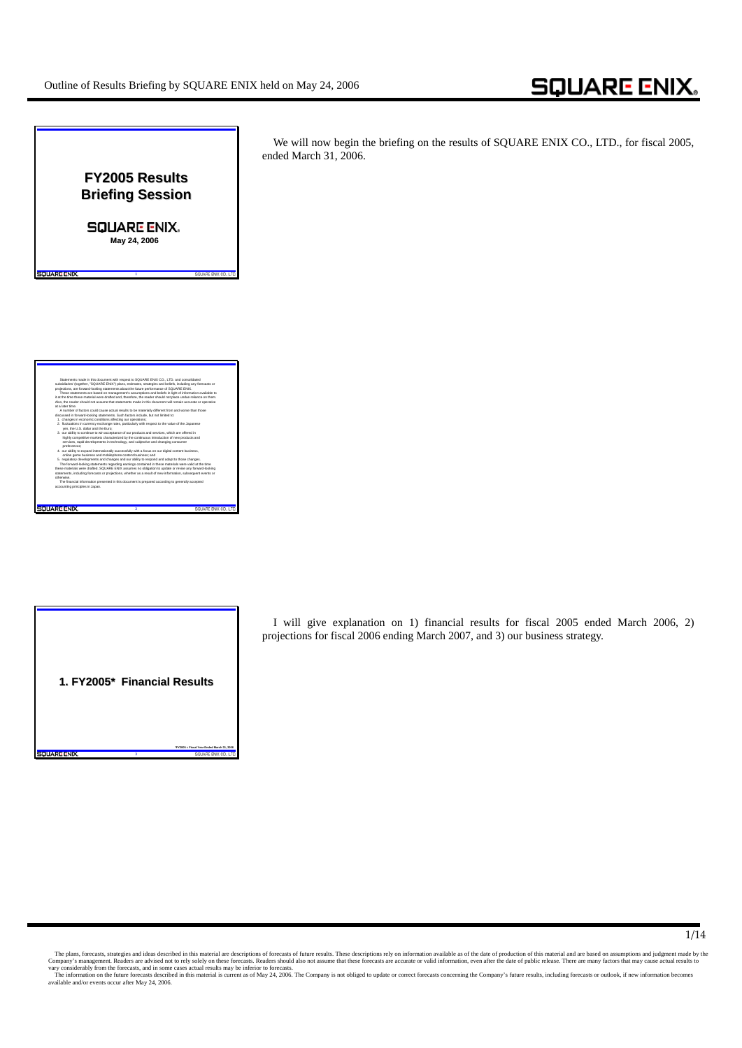



I will give explanation on 1) financial results for fiscal 2005 ended March 2006, 2) projections for fiscal 2006 ending March 2007, and 3) our business strategy.

The plans, forecasts, strategies and ideas described in this material are a descriptions of forecasts of future results. These descriptions rely on information available as of the date of production of this material and ar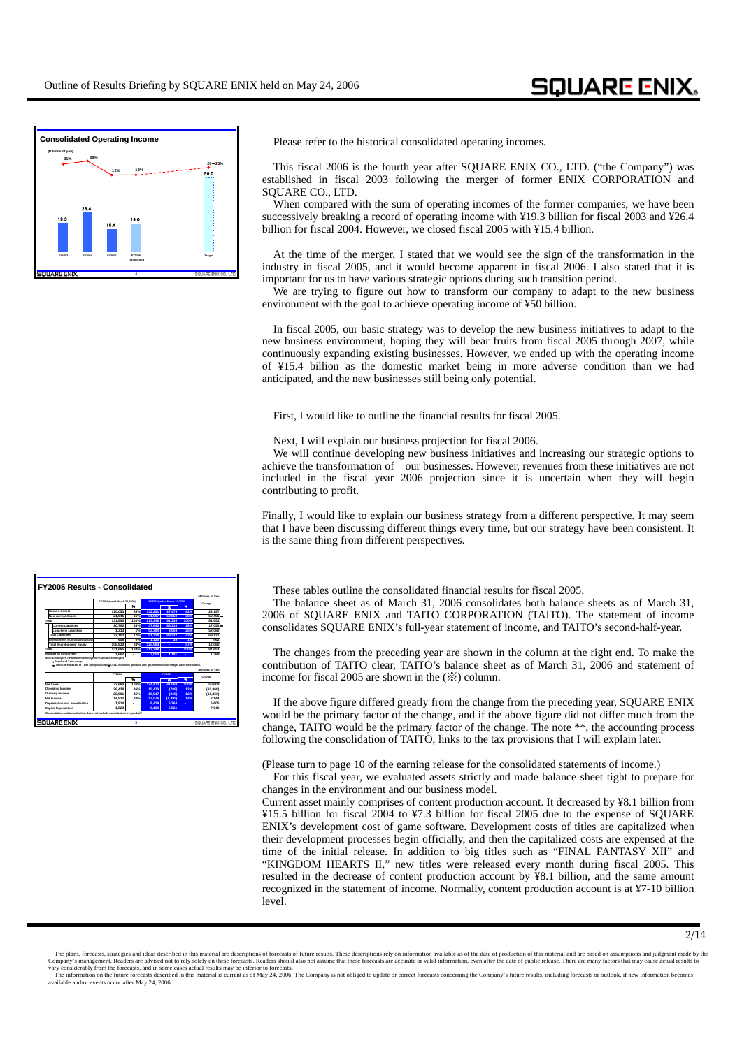

Please refer to the historical consolidated operating incomes.

This fiscal 2006 is the fourth year after SQUARE ENIX CO., LTD. ("the Company") was established in fiscal 2003 following the merger of former ENIX CORPORATION and SQUARE CO., LTD.

When compared with the sum of operating incomes of the former companies, we have been successively breaking a record of operating income with ¥19.3 billion for fiscal 2003 and ¥26.4 billion for fiscal 2004. However, we closed fiscal 2005 with ¥15.4 billion.

At the time of the merger, I stated that we would see the sign of the transformation in the industry in fiscal 2005, and it would become apparent in fiscal 2006. I also stated that it is important for us to have various strategic options during such transition period.

We are trying to figure out how to transform our company to adapt to the new business environment with the goal to achieve operating income of ¥50 billion.

In fiscal 2005, our basic strategy was to develop the new business initiatives to adapt to the new business environment, hoping they will bear fruits from fiscal 2005 through 2007, while continuously expanding existing businesses. However, we ended up with the operating income of ¥15.4 billion as the domestic market being in more adverse condition than we had anticipated, and the new businesses still being only potential.

First, I would like to outline the financial results for fiscal 2005.

Next, I will explain our business projection for fiscal 2006.

We will continue developing new business initiatives and increasing our strategic options to achieve the transformation of our businesses. However, revenues from these initiatives are not included in the fiscal year 2006 projection since it is uncertain when they will begin contributing to profit.

Finally, I would like to explain our business strategy from a different perspective. It may seem that I have been discussing different things every time, but our strategy have been consistent. It is the same thing from different perspectives.

These tables outline the consolidated financial results for fiscal 2005.

The balance sheet as of March 31, 2006 consolidates both balance sheets as of March 31, 2006 of SQUARE ENIX and TAITO CORPORATION (TAITO). The statement of income consolidates SQUARE ENIX's full-year statement of income, and TAITO's second-half-year.

The changes from the preceding year are shown in the column at the right end. To make the contribution of TAITO clear, TAITO's balance sheet as of March 31, 2006 and statement of income for fiscal 2005 are shown in the (※) column.

If the above figure differed greatly from the change from the preceding year, SQUARE ENIX would be the primary factor of the change, and if the above figure did not differ much from the change, TAITO would be the primary factor of the change. The note \*\*, the accounting process following the consolidation of TAITO, links to the tax provisions that I will explain later.

(Please turn to page 10 of the earning release for the consolidated statements of income.)

For this fiscal year, we evaluated assets strictly and made balance sheet tight to prepare for changes in the environment and our business model.

Current asset mainly comprises of content production account. It decreased by ¥8.1 billion from ¥15.5 billion for fiscal 2004 to ¥7.3 billion for fiscal 2005 due to the expense of SQUARE ENIX's development cost of game software. Development costs of titles are capitalized when their development processes begin officially, and then the capitalized costs are expensed at the time of the initial release. In addition to big titles such as "FINAL FANTASY XII" and "KINGDOM HEARTS II," new titles were released every month during fiscal 2005. This resulted in the decrease of content production account by ¥8.1 billion, and the same amount recognized in the statement of income. Normally, content production account is at ¥7-10 billion level.



available and/or events occur after May 24, 2006.

The plans, forecasts, strategies and ideas described in this material are descriptions of forecasts of future results. These descriptions rely on information a wailable as of the date of production material and are based o vary considerably from the forecasts, and in some cases actual results may be inferior to forecasts.<br>The information on the future forecasts described in this material is current as of May 24, 2006. The Company is not obli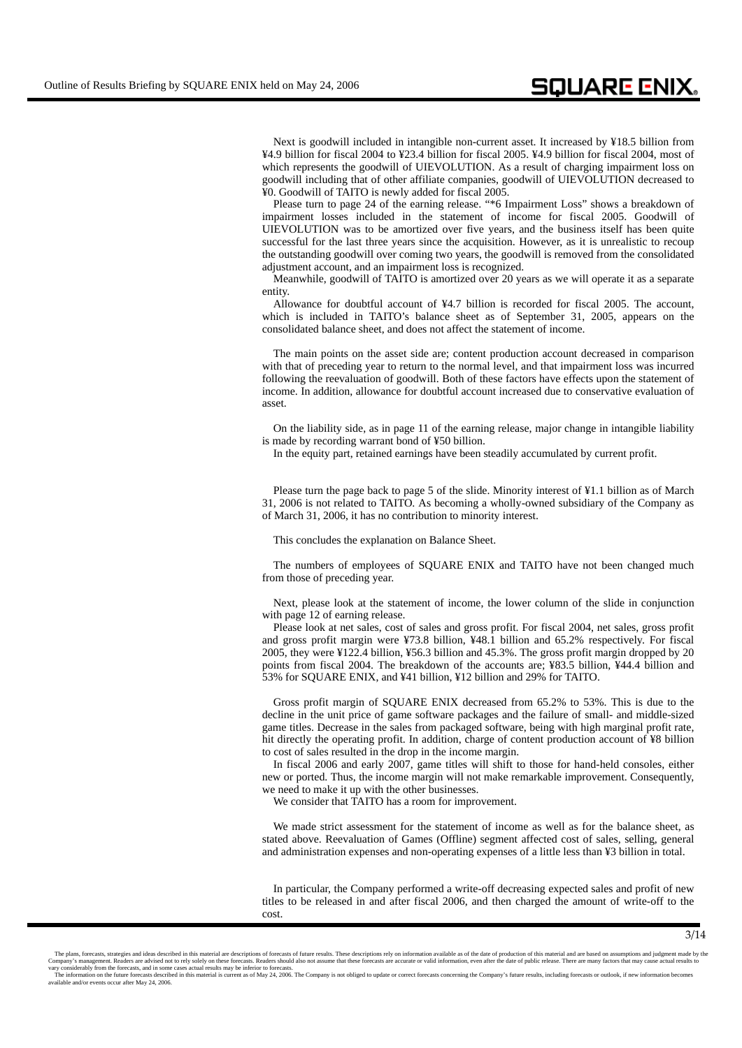Next is goodwill included in intangible non-current asset. It increased by ¥18.5 billion from ¥4.9 billion for fiscal 2004 to ¥23.4 billion for fiscal 2005. ¥4.9 billion for fiscal 2004, most of which represents the goodwill of UIEVOLUTION. As a result of charging impairment loss on goodwill including that of other affiliate companies, goodwill of UIEVOLUTION decreased to ¥0. Goodwill of TAITO is newly added for fiscal 2005.

Please turn to page 24 of the earning release. "\*6 Impairment Loss" shows a breakdown of impairment losses included in the statement of income for fiscal 2005. Goodwill of UIEVOLUTION was to be amortized over five years, and the business itself has been quite successful for the last three years since the acquisition. However, as it is unrealistic to recoup the outstanding goodwill over coming two years, the goodwill is removed from the consolidated adjustment account, and an impairment loss is recognized.

Meanwhile, goodwill of TAITO is amortized over 20 years as we will operate it as a separate entity.

Allowance for doubtful account of ¥4.7 billion is recorded for fiscal 2005. The account, which is included in TAITO's balance sheet as of September 31, 2005, appears on the consolidated balance sheet, and does not affect the statement of income.

The main points on the asset side are; content production account decreased in comparison with that of preceding year to return to the normal level, and that impairment loss was incurred following the reevaluation of goodwill. Both of these factors have effects upon the statement of income. In addition, allowance for doubtful account increased due to conservative evaluation of asset.

On the liability side, as in page 11 of the earning release, major change in intangible liability is made by recording warrant bond of ¥50 billion.

In the equity part, retained earnings have been steadily accumulated by current profit.

Please turn the page back to page 5 of the slide. Minority interest of ¥1.1 billion as of March 31, 2006 is not related to TAITO. As becoming a wholly-owned subsidiary of the Company as of March 31, 2006, it has no contribution to minority interest.

This concludes the explanation on Balance Sheet.

The numbers of employees of SQUARE ENIX and TAITO have not been changed much from those of preceding year.

Next, please look at the statement of income, the lower column of the slide in conjunction with page 12 of earning release.

Please look at net sales, cost of sales and gross profit. For fiscal 2004, net sales, gross profit and gross profit margin were ¥73.8 billion, ¥48.1 billion and 65.2% respectively. For fiscal 2005, they were ¥122.4 billion, ¥56.3 billion and 45.3%. The gross profit margin dropped by 20 points from fiscal 2004. The breakdown of the accounts are; ¥83.5 billion, ¥44.4 billion and 53% for SQUARE ENIX, and ¥41 billion, ¥12 billion and 29% for TAITO.

Gross profit margin of SQUARE ENIX decreased from 65.2% to 53%. This is due to the decline in the unit price of game software packages and the failure of small- and middle-sized game titles. Decrease in the sales from packaged software, being with high marginal profit rate, hit directly the operating profit. In addition, charge of content production account of ¥8 billion to cost of sales resulted in the drop in the income margin.

In fiscal 2006 and early 2007, game titles will shift to those for hand-held consoles, either new or ported. Thus, the income margin will not make remarkable improvement. Consequently, we need to make it up with the other businesses.

We consider that TAITO has a room for improvement.

We made strict assessment for the statement of income as well as for the balance sheet, as stated above. Reevaluation of Games (Offline) segment affected cost of sales, selling, general and administration expenses and non-operating expenses of a little less than ¥3 billion in total.

In particular, the Company performed a write-off decreasing expected sales and profit of new titles to be released in and after fiscal 2006, and then charged the amount of write-off to the cost.

The plans, forecasts, strategies and ideas described in this material are descriptions of forecasts of future results. These descriptions rely on information a wailable as of the date of production material and are based o vary considerably from the forecasts, and in some cases actual results may be inferior to forecasts.<br>The information on the future forecasts described in this material is current as of May 24, 2006. The Company is not obli available and/or events occur after May 24, 2006.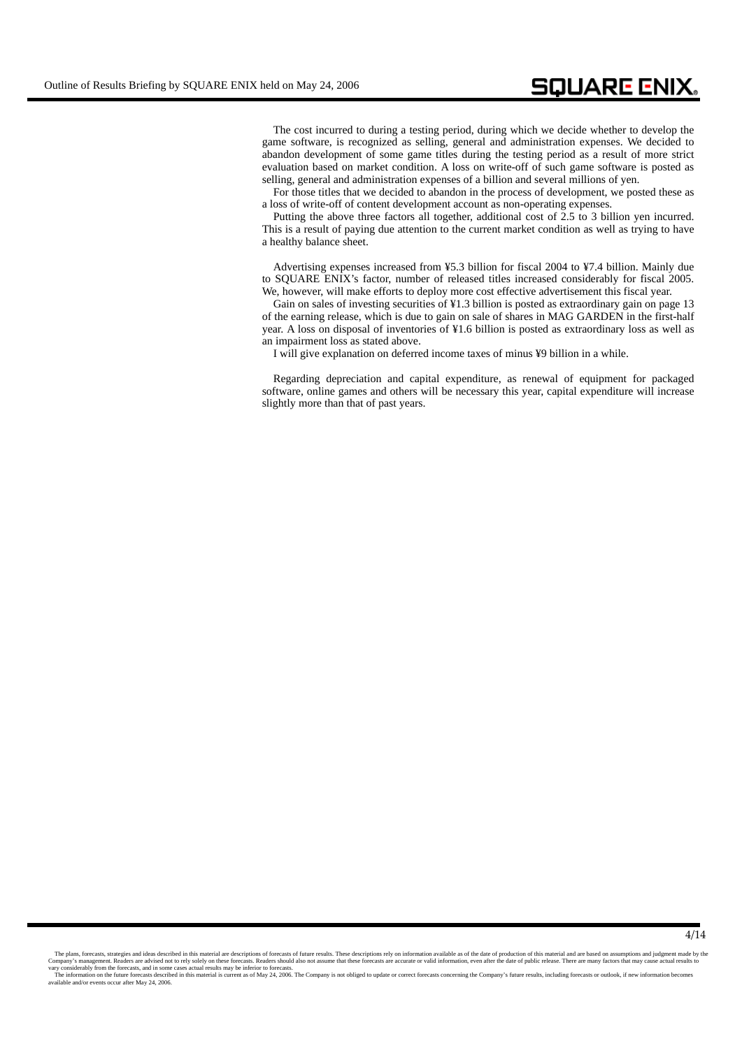The cost incurred to during a testing period, during which we decide whether to develop the game software, is recognized as selling, general and administration expenses. We decided to abandon development of some game titles during the testing period as a result of more strict evaluation based on market condition. A loss on write-off of such game software is posted as selling, general and administration expenses of a billion and several millions of yen.

For those titles that we decided to abandon in the process of development, we posted these as a loss of write-off of content development account as non-operating expenses.

Putting the above three factors all together, additional cost of 2.5 to 3 billion yen incurred. This is a result of paying due attention to the current market condition as well as trying to have a healthy balance sheet.

Advertising expenses increased from ¥5.3 billion for fiscal 2004 to ¥7.4 billion. Mainly due to SQUARE ENIX's factor, number of released titles increased considerably for fiscal 2005. We, however, will make efforts to deploy more cost effective advertisement this fiscal year.

Gain on sales of investing securities of ¥1.3 billion is posted as extraordinary gain on page 13 of the earning release, which is due to gain on sale of shares in MAG GARDEN in the first-half year. A loss on disposal of inventories of ¥1.6 billion is posted as extraordinary loss as well as an impairment loss as stated above.

I will give explanation on deferred income taxes of minus ¥9 billion in a while.

Regarding depreciation and capital expenditure, as renewal of equipment for packaged software, online games and others will be necessary this year, capital expenditure will increase slightly more than that of past years.

The plans, forecasts, strategies and ideas described in this material are descriptions of forecasts of future results. These descriptions rely on information available as of the date of production of this material and are

available and/or events occur after May 24, 2006.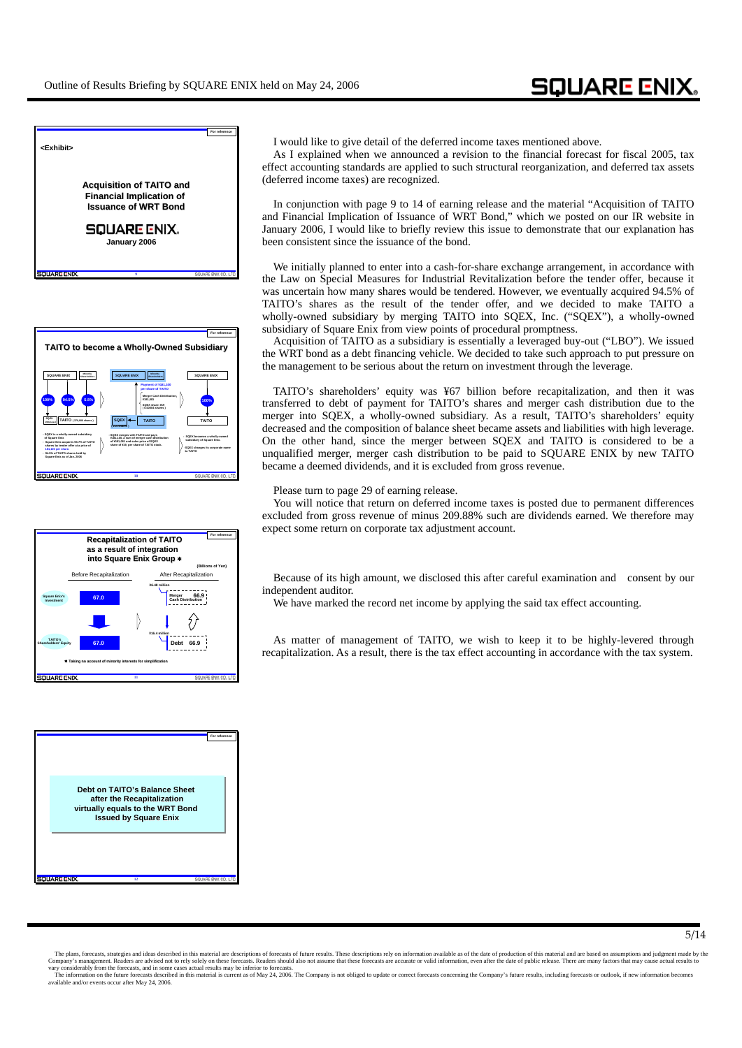

**9**

**SOUARE ENIX** 







I would like to give detail of the deferred income taxes mentioned above.

As I explained when we announced a revision to the financial forecast for fiscal 2005, tax effect accounting standards are applied to such structural reorganization, and deferred tax assets (deferred income taxes) are recognized.

In conjunction with page 9 to 14 of earning release and the material "Acquisition of TAITO and Financial Implication of Issuance of WRT Bond," which we posted on our IR website in January 2006, I would like to briefly review this issue to demonstrate that our explanation has been consistent since the issuance of the bond.

We initially planned to enter into a cash-for-share exchange arrangement, in accordance with the Law on Special Measures for Industrial Revitalization before the tender offer, because it was uncertain how many shares would be tendered. However, we eventually acquired 94.5% of TAITO's shares as the result of the tender offer, and we decided to make TAITO a wholly-owned subsidiary by merging TAITO into SQEX, Inc. ("SQEX"), a wholly-owned subsidiary of Square Enix from view points of procedural promptness.

Acquisition of TAITO as a subsidiary is essentially a leveraged buy-out ("LBO"). We issued the WRT bond as a debt financing vehicle. We decided to take such approach to put pressure on the management to be serious about the return on investment through the leverage.

TAITO's shareholders' equity was ¥67 billion before recapitalization, and then it was transferred to debt of payment for TAITO's shares and merger cash distribution due to the merger into SQEX, a wholly-owned subsidiary. As a result, TAITO's shareholders' equity decreased and the composition of balance sheet became assets and liabilities with high leverage. On the other hand, since the merger between SQEX and TAITO is considered to be a unqualified merger, merger cash distribution to be paid to SQUARE ENIX by new TAITO became a deemed dividends, and it is excluded from gross revenue.

Please turn to page 29 of earning release.

You will notice that return on deferred income taxes is posted due to permanent differences excluded from gross revenue of minus 209.88% such are dividends earned. We therefore may expect some return on corporate tax adjustment account.

Because of its high amount, we disclosed this after careful examination and consent by our independent auditor.

We have marked the record net income by applying the said tax effect accounting.

As matter of management of TAITO, we wish to keep it to be highly-levered through recapitalization. As a result, there is the tax effect accounting in accordance with the tax system.

The plans, forecasts, strategies and ideas described in this material are descriptions of forecasts of future results. These descriptions rely on information a wailable as of the date of production material and are based o vary considerably from the forecasts, and in some cases actual results may be inferior to forecasts.<br>The information on the future forecasts described in this material is current as of May 24, 2006. The Company is not obli

available and/or events occur after May 24, 2006.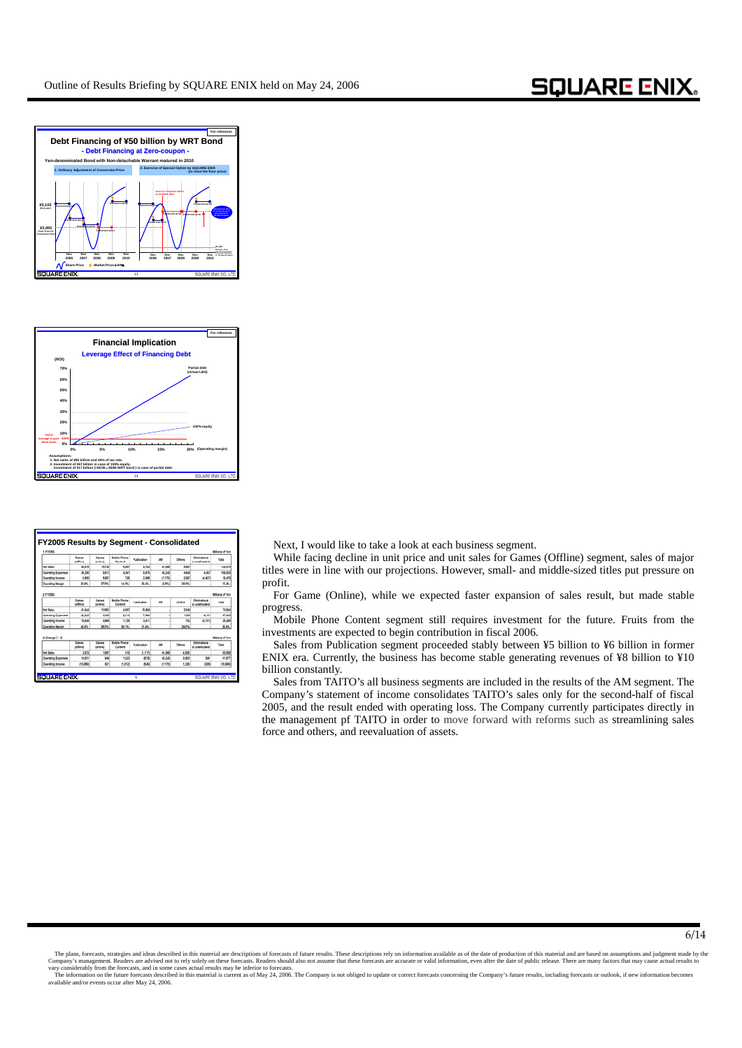



| 1. FYDDIA                 |                        |                           |                                |             |          |        |                                | Millions of Yan |
|---------------------------|------------------------|---------------------------|--------------------------------|-------------|----------|--------|--------------------------------|-----------------|
|                           | Games<br>(pffilme)     | <b>Games</b><br>Institute | <b>Mobile Phone</b><br>Contact | Publication | AM       | Others | Eliminations<br>ar unaftersted | Total           |
| Net Sales                 | 45.916                 | 16,720                    | 5.067                          | 9.742       | 41,089   | 6.967  |                                | 124.473         |
| <b>Operating Expenses</b> | 36,326                 | 9.912                     | 4.341                          | 6.879       | 42240    | 4,649  | 4.457                          | 106,003         |
| <b>Operating Income</b>   | 9.590                  | 5,907                     | 726                            | 2.868       | (1, 170) | 2.007  | 44,457                         | 15,470          |
| <b>Coerating Margin</b>   | 55.0%                  | 37 BVL                    | <b>SE 9%</b>                   | 55,4%       | 0 PG     | 56.8%  |                                | 12.4%           |
| Net Sales                 | 41.544                 | 13.063                    | 4557                           | 10,958      |          | 1649   |                                | 73,964          |
| 2. Fr2004                 | Games                  | Games                     | <b>Mobile Phone</b>            | Publication | AM       | Others | Eliminations                   | Total           |
|                           | (office)               | Inding                    | Contant                        |             |          |        | or unallocated                 |                 |
| <b>Operating Expenses</b> | 22.255                 | 6.566                     | 2.0 <sub>10</sub>              | 7.445       |          | 1,000  | 4.535                          | 47.426          |
| Operating Income          | 19.649                 | 4,906                     | 1,738                          | 3,411       |          | 792    | (4.121)                        | 26.436          |
| <b>Coerating Margin</b>   | at and                 | 36.0%                     | 30.1%                          | 31.4%       |          | 29.5%  |                                | 36.9%           |
|                           |                        |                           |                                |             |          |        |                                |                 |
| 3. Change (1-2)           |                        |                           |                                |             |          |        |                                | Millions of Yen |
|                           | Games<br><b>Infine</b> | Games<br>Inningi          | <b>Mobile Phone</b><br>Content | Publication | AM       | Others | Elminations<br>or unaliscated  | Total           |
| <b>Net Sales</b>          | 3,972                  | 1,967                     | 610                            | (1.517)     | 41,069   | 4,308  |                                | 50,609          |
| <b>Coerating Expenses</b> | 14.031                 | 946                       | 1533                           | 673         | 42240    | 3,063  | 336                            | 61,677          |
| <b>Operating Income</b>   | (10.068)               | 921                       | (1.012)                        | 649         | (1, 170) | 1.335  | 0001                           | (10,968)        |

**FX205** Next, I would like to take a look at each business segment.

While facing decline in unit price and unit sales for Games (Offline) segment, sales of major titles were in line with our projections. However, small- and middle-sized titles put pressure on profit.

For Game (Online), while we expected faster expansion of sales result, but made stable progress.

Mobile Phone Content segment still requires investment for the future. Fruits from the investments are expected to begin contribution in fiscal 2006.

Sales from Publication segment proceeded stably between ¥5 billion to ¥6 billion in former ENIX era. Currently, the business has become stable generating revenues of ¥8 billion to ¥10 billion constantly.

Sales from TAITO's all business segments are included in the results of the AM segment. The Company's statement of income consolidates TAITO's sales only for the second-half of fiscal 2005, and the result ended with operating loss. The Company currently participates directly in the management pf TAITO in order to move forward with reforms such as streamlining sales force and others, and reevaluation of assets.

The plans, forecasts, strategies and ideas described in this material are descriptions of forecasts of future results. These descriptions rely on information available as of the date of production of this material and are

available and/or events occur after May 24, 2006.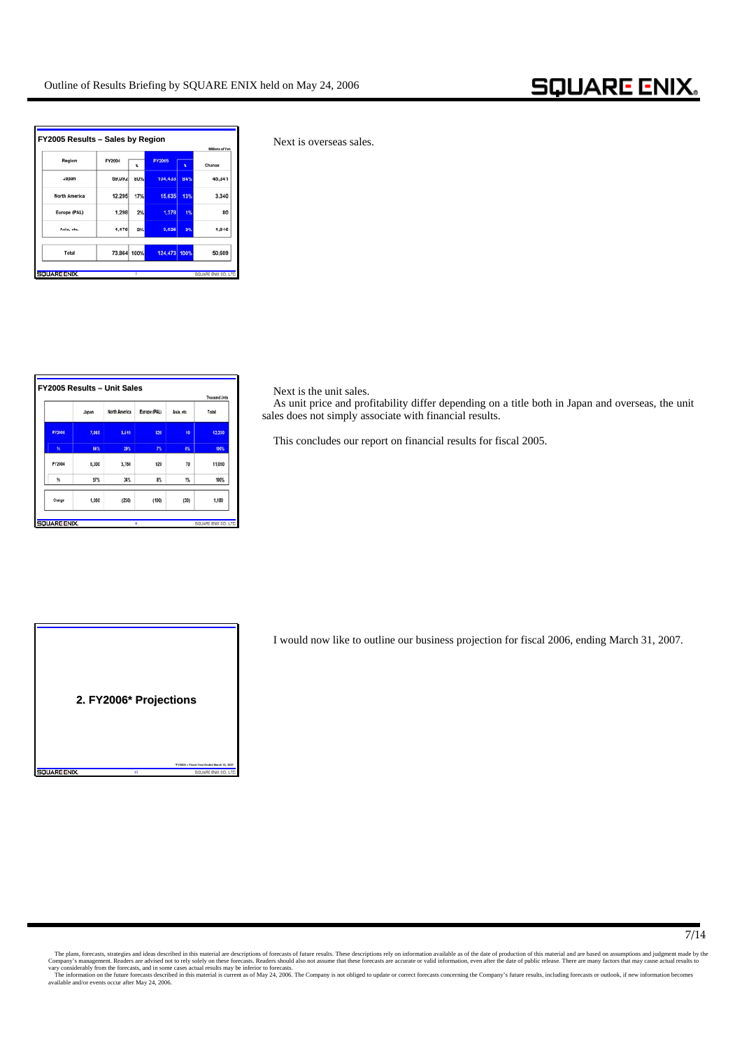| Region        | FY2004      | x     | <b>FY2005</b> | x   | Change |
|---------------|-------------|-------|---------------|-----|--------|
| Japan         | 59,092      | 80%   | 104, 433      | 84% | 45,341 |
| North America | 12.295      | 17%   | 15,635        | 13% | 3,340  |
| Europe (PAL)  | 1,298       | 2%    | 1,378         | 1%  | 80     |
| Asia, etc.    | 1,179       | $2\%$ | 3.025         | 2%  | 1,946  |
| Total         | 73,864 100% |       | 124,473 100%  |     | 50,609 |

**Next is overseas sales.** 

|               |       |               |              |            | <b>Thousand Units</b> |
|---------------|-------|---------------|--------------|------------|-----------------------|
|               | Japan | North America | Europe (PAL) | Asia, etc. | Total                 |
| <b>FY2005</b> | 7,860 | 3,510         | 820          | 40         | 12,230                |
| $\mathbf{M}$  | 64%   | 29%           | 7%           | 帐          | 100%                  |
| FY2004        | 6,300 | 3,760         | 920          | 70         | 11,050                |
| %             | 57%   | 34%           | 8%           | 1%         | 100%                  |
| Change        | 1.560 | (250)         | (100)        | (30)       | 1,180                 |

**Figure Figure Next is the unit sales.** 

As unit price and profitability differ depending on a title both in Japan and overseas, the unit sales does not simply associate with financial results.

This concludes our report on financial results for fiscal 2005.



I would now like to outline our business projection for fiscal 2006, ending March 31, 2007.

The plans, forecasts, strategies and ideas described in this material are a descriptions of forecasts of future results. These descriptions rely on information available as of the date of production of this material and ar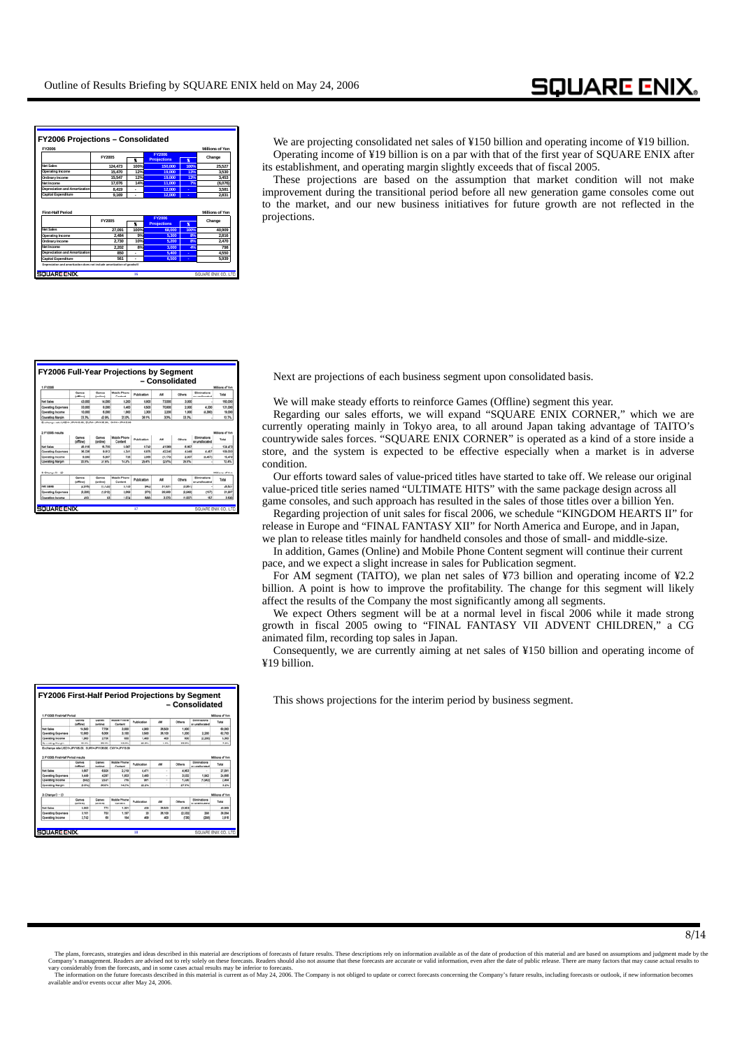| <b>FY2006</b>                                                                                          |         |      |                     |      | <b>Millions of Yen</b>   |
|--------------------------------------------------------------------------------------------------------|---------|------|---------------------|------|--------------------------|
|                                                                                                        | FY2005  |      | <b>FY2006</b>       |      | Change                   |
|                                                                                                        |         | ¥    | <b>Prrolections</b> | ×    |                          |
| Net Sales                                                                                              | 124,473 | 100% | 150,000             | 100% | 25.527                   |
| Operating Income                                                                                       | 15,470  | 12%  | 19,000              | 13%  | 3.530                    |
| Ordinary Income                                                                                        | 15.547  | 12%  | 19,000              | 13%  | 3.453                    |
| Net Income                                                                                             | 17.076  | 14%  | 11.000              | 7%   | (6.076)                  |
|                                                                                                        |         |      |                     |      | 3,581                    |
|                                                                                                        | 8.419   | L.   | 12,000              | ä,   |                          |
|                                                                                                        | 9.169   | ٠    | 12,000              | ٠    | 2.831<br>Millions of Yen |
| Depreciation and Amortization<br><b>Capital Expenditure</b><br><b>First-Half Period</b>                |         |      | FY2006              |      |                          |
|                                                                                                        | FY2005  | Ŧ    | <b>Prrojections</b> | K    | Change                   |
|                                                                                                        | 27.091  | 100% | 68,000              | 100% | 40,909                   |
|                                                                                                        | 2.484   | 9%   | 5.300               | 8%   | 2.816                    |
|                                                                                                        | 2.730   | 10%  | 5.200               | 8%   | 2.470                    |
|                                                                                                        | 2.202   | 8%   | 3.000               | 4%   | 798                      |
| Net Sales<br>Operating Income<br>Ordinary Income<br>Net Income<br><b>Depreciation and Amortization</b> | 850     | ۰    | 5.400               | ٠    | 4,550                    |

We are projecting consolidated net sales of ¥150 billion and operating income of ¥19 billion. Operating income of ¥19 billion is on a par with that of the first year of SQUARE ENIX after its establishment, and operating margin slightly exceeds that of fiscal 2005.

These projections are based on the assumption that market condition will not make improvement during the transitional period before all new generation game consoles come out to the market, and our new business initiatives for future growth are not reflected in the projections.

|                                                                                                                                   |                           |                  |                         |                    | - Consolidated  |                    |                                 |                                                 |
|-----------------------------------------------------------------------------------------------------------------------------------|---------------------------|------------------|-------------------------|--------------------|-----------------|--------------------|---------------------------------|-------------------------------------------------|
| 1. FY2006                                                                                                                         |                           |                  |                         |                    |                 |                    |                                 | Millions of Yer                                 |
|                                                                                                                                   | Games<br><b>Inflicted</b> | Games<br>Inningi | Mobile Phone<br>Contact | Publication        | AM.             | Others             | Eliminations<br>or construction | Tetal                                           |
| <b>Net Sales</b>                                                                                                                  | 43,000                    | 14,000           | 8,200                   | 8.800              | 73,000          | 3.000              |                                 | 150,000                                         |
| <b>Coerating Expenses</b>                                                                                                         | 33,000                    | 8,000            | 6,400                   | 6,500              | 70,800          | 2.000              | 4.300                           | 131,000                                         |
| <b>Operating Income</b>                                                                                                           | 10.000                    | 6,000            | 1,800                   | 2,300              | 2,200           | 1.000              | 44,500                          | 19,000                                          |
| <b>Courating Margin</b>                                                                                                           | 23.3%                     | 42.9%            | 22.0%                   | 36.1%              | 3.0%            | 33.3%              |                                 | 12.7%                                           |
|                                                                                                                                   | Games                     | Games            | Mobile Phone            |                    | AM.             |                    | Eliminations                    | Total                                           |
|                                                                                                                                   |                           |                  |                         |                    |                 |                    |                                 |                                                 |
|                                                                                                                                   | (office)                  | (online)         | Content                 | Publication        |                 | Others             | or unallocated                  |                                                 |
|                                                                                                                                   | 45,916                    | 16,730           | 6.067                   | 9.242              | 41.069          | 6.967              |                                 |                                                 |
|                                                                                                                                   | 36,326                    | 9,912            | 4.341                   | 6.876              | 42.340          | 4,549              | 4.467                           |                                                 |
|                                                                                                                                   | 9.500                     | 5,907            | 726                     | 2,866              | (1, 1, 3, 5)    | 2.007              | 04.487                          | Millions of Yer<br>134,473<br>109,003<br>15,470 |
|                                                                                                                                   | 20.9%                     | 37.9%            | 14.2%                   | 29.4%              | <b>GUIRRA</b>   | 29.9%              |                                 | 12.4%                                           |
| 2. EV2006 require<br><b>Not Sales</b><br><b>Coerating Expenses</b><br>Operating Income<br>Operating Margin<br>$3.$ Change $(1-2)$ | Games                     | Games            | Mobile Phone            |                    |                 |                    | Eliminations                    |                                                 |
|                                                                                                                                   | (pffine)                  | (profess)        | Contant                 | <b>Publication</b> | AM              | Others             | or unallocated                  | Milions of Yar<br>Total                         |
| hier Kales                                                                                                                        | (2.916)                   | (1.720)          | 3.533                   | (942)              | 31, 531         | (3.967)            |                                 | 26,627                                          |
| <b>Coerating Expenses</b><br><b>Operating Income</b>                                                                              | (3.326)<br>410            | (1.812)<br>43    | 2.068<br>1.074          | ans<br>666         | 29,560<br>3,370 | (2,948)<br>(1.007) | 057<br>167                      | 21,897<br>3.530                                 |

Next are projections of each business segment upon consolidated basis.

We will make steady efforts to reinforce Games (Offline) segment this year.

Regarding our sales efforts, we will expand "SQUARE ENIX CORNER," which we are currently operating mainly in Tokyo area, to all around Japan taking advantage of TAITO's countrywide sales forces. "SQUARE ENIX CORNER" is operated as a kind of a store inside a store, and the system is expected to be effective especially when a market is in adverse condition.

Our efforts toward sales of value-priced titles have started to take off. We release our original value-priced title series named "ULTIMATE HITS" with the same package design across all game consoles, and such approach has resulted in the sales of those titles over a billion Yen.

Regarding projection of unit sales for fiscal 2006, we schedule "KINGDOM HEARTS II" for release in Europe and "FINAL FANTASY XII" for North America and Europe, and in Japan, we plan to release titles mainly for handheld consoles and those of small- and middle-size.

In addition, Games (Online) and Mobile Phone Content segment will continue their current pace, and we expect a slight increase in sales for Publication segment.

For AM segment (TAITO), we plan net sales of ¥73 billion and operating income of ¥2.2 billion. A point is how to improve the profitability. The change for this segment will likely affect the results of the Company the most significantly among all segments.

We expect Others segment will be at a normal level in fiscal 2006 while it made strong growth in fiscal 2005 owing to "FINAL FANTASY VII ADVENT CHILDREN," a CG animated film, recording top sales in Japan.

Consequently, we are currently aiming at net sales of ¥150 billion and operating income of ¥19 billion.

This shows projections for the interim period by business segment.

| 1. F12006 First Half Period                                                                         |                                         |                   |                           |                    |                 |                |                                | Millions of Yen                |
|-----------------------------------------------------------------------------------------------------|-----------------------------------------|-------------------|---------------------------|--------------------|-----------------|----------------|--------------------------------|--------------------------------|
|                                                                                                     | Games<br><b>Move</b>                    | Games<br>(orders) | Mobile Pitcone<br>Content | Publication        | AM <sub>2</sub> | Others         | Eliminations<br>or unadocated  | Total                          |
| <b>Not Sales</b>                                                                                    | 14,500                                  | 7.700             | 3,600                     | 4,900              | 35,500          | 1,900          |                                | 44,500                         |
| <b>Operating Expenses</b>                                                                           | 12,600                                  | 5,000             | 3.100                     | 3,600              | 36,100          | 1,500          | 3,990                          | 43,700                         |
| <b>Operating Income</b>                                                                             | 1,900                                   | 2,700             | 500                       | 1,400              | ano.            | 600            | (2, 200)                       | 5,300                          |
| <b>Operating Margin</b>                                                                             | 13.1%                                   | 36, 1%            | 13.9%                     | 20, 6%             | 1.1%            | 33.9%          | $\overline{\phantom{a}}$       | 7.8%                           |
| 2. FY2005 First-Half Period results                                                                 | Games<br><b><i><u>CONTINUES</u></i></b> | Games<br>Inmitrat | Mobile Phone<br>Content   | <b>Publication</b> | AM <sub>1</sub> | Others         | Eliminations<br>or unaliscated | Millions of Yen<br>Tatel       |
|                                                                                                     | 0.607                                   | 6,939             | 2.219                     | 4.471              | ×               | 4.963          |                                | 27.091                         |
|                                                                                                     | 9,449                                   | 4.997             | 1.903                     | 3,490              | ×               | 3,630          | 1,942                          | 34,606                         |
|                                                                                                     | distin                                  | 2.631             | 316                       | sion               | ٠               | 1,330          | maga                           |                                |
| <b>Not Salan</b><br><b>Coerating Expenses</b><br><b>Coersting Income</b><br><b>Operating Margin</b> | 6.8%                                    | <b>30 PAL</b>     | 14.2%                     | 22.2%              | ×.              | 27.9%          | $\overline{a}$                 | 2.494<br>\$2%                  |
| 3. Change (1-2)                                                                                     | Cames                                   | Games             | Mobile Phone              | Publication        | AM              | <b>Cithers</b> | Eliminations                   | <b>Millors of Tax</b><br>Total |
| <b>Net Sales</b>                                                                                    | <b>Mine</b><br>5, 893                   | domitimed<br>TT2  | Content<br>1,381          | 428                | 35,500          | (3.063)        | or unaffocated                 |                                |
| <b>Operating Expenses</b>                                                                           | 3.161                                   | 723               | 1.197                     | 20                 | 36,100          | (2.332)        | 250                            | 40,909<br>38,094               |

vary considerably from the forecasts, and in some cases actual results may be inferior to forecasts.<br>The information on the future forecasts described in this material is current as of May 24, 2006. The Company is not obli available and/or events occur after May 24, 2006.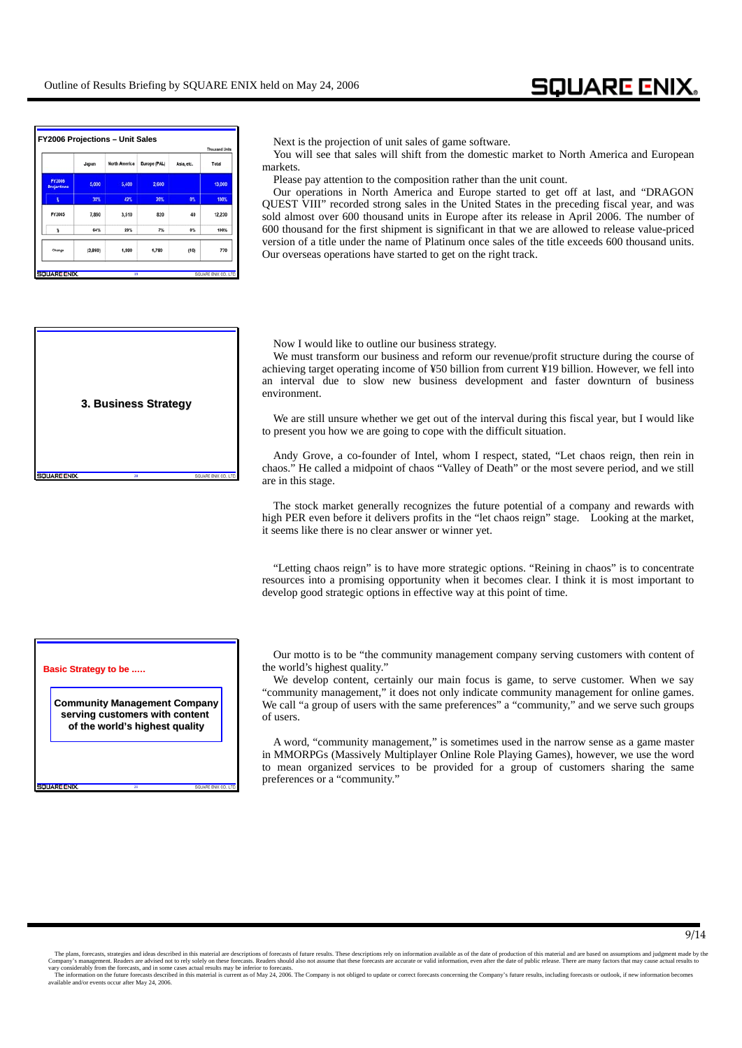|                                     |         |                      |              |            | <b>Thousand Units</b> |
|-------------------------------------|---------|----------------------|--------------|------------|-----------------------|
|                                     | Japan   | <b>North America</b> | Europe (PAL) | Asia, etc. | Total                 |
| <b>FY2006</b><br><b>Projections</b> | 5.000   | 5.400                | 2.600        |            | 13,000                |
| x                                   | 38%     | 42%                  | 20%          | 0%         | 100%                  |
| FY2005                              | 7,860   | 3,510                | 820          | 40         | 12.230                |
| ¥                                   | 64%     | 29%                  | 7%           | 0%         | 100%                  |
| Change                              | (2,860) | 1.890                | 1,780        | (40)       | 770                   |

### Next is the projection of unit sales of game software.

You will see that sales will shift from the domestic market to North America and European markets.

Please pay attention to the composition rather than the unit count.

Our operations in North America and Europe started to get off at last, and "DRAGON QUEST VIII" recorded strong sales in the United States in the preceding fiscal year, and was sold almost over 600 thousand units in Europe after its release in April 2006. The number of 600 thousand for the first shipment is significant in that we are allowed to release value-priced version of a title under the name of Platinum once sales of the title exceeds 600 thousand units. Our overseas operations have started to get on the right track.



**20**

### **Basic Strategy to be .....**

**SOLIARE ENIX** 

**Community Management Company Community Management Company** serving customers with content of the world's highest quality

**21**

Now I would like to outline our business strategy.

We must transform our business and reform our revenue/profit structure during the course of achieving target operating income of ¥50 billion from current ¥19 billion. However, we fell into an interval due to slow new business development and faster downturn of business environment.

We are still unsure whether we get out of the interval during this fiscal year, but I would like to present you how we are going to cope with the difficult situation.

Andy Grove, a co-founder of Intel, whom I respect, stated, "Let chaos reign, then rein in chaos." He called a midpoint of chaos "Valley of Death" or the most severe period, and we still are in this stage.

The stock market generally recognizes the future potential of a company and rewards with high PER even before it delivers profits in the "let chaos reign" stage. Looking at the market, it seems like there is no clear answer or winner yet.

"Letting chaos reign" is to have more strategic options. "Reining in chaos" is to concentrate resources into a promising opportunity when it becomes clear. I think it is most important to develop good strategic options in effective way at this point of time.

Our motto is to be "the community management company serving customers with content of the world's highest quality."

We develop content, certainly our main focus is game, to serve customer. When we say "community management," it does not only indicate community management for online games. We call "a group of users with the same preferences" a "community," and we serve such groups of users.

A word, "community management," is sometimes used in the narrow sense as a game master in MMORPGs (Massively Multiplayer Online Role Playing Games), however, we use the word to mean organized services to be provided for a group of customers sharing the same preferences or a "community."

The plans, forecasts, strategies and ideas described in this material are descriptions of forecasts of future results. These descriptions rely on information a wailable as of the date of production material and are based o vary considerably from the forecasts, and in some cases actual results may be inferior to forecasts.<br>The information on the future forecasts described in this material is current as of May 24, 2006. The Company is not obli

available and/or events occur after May 24, 2006.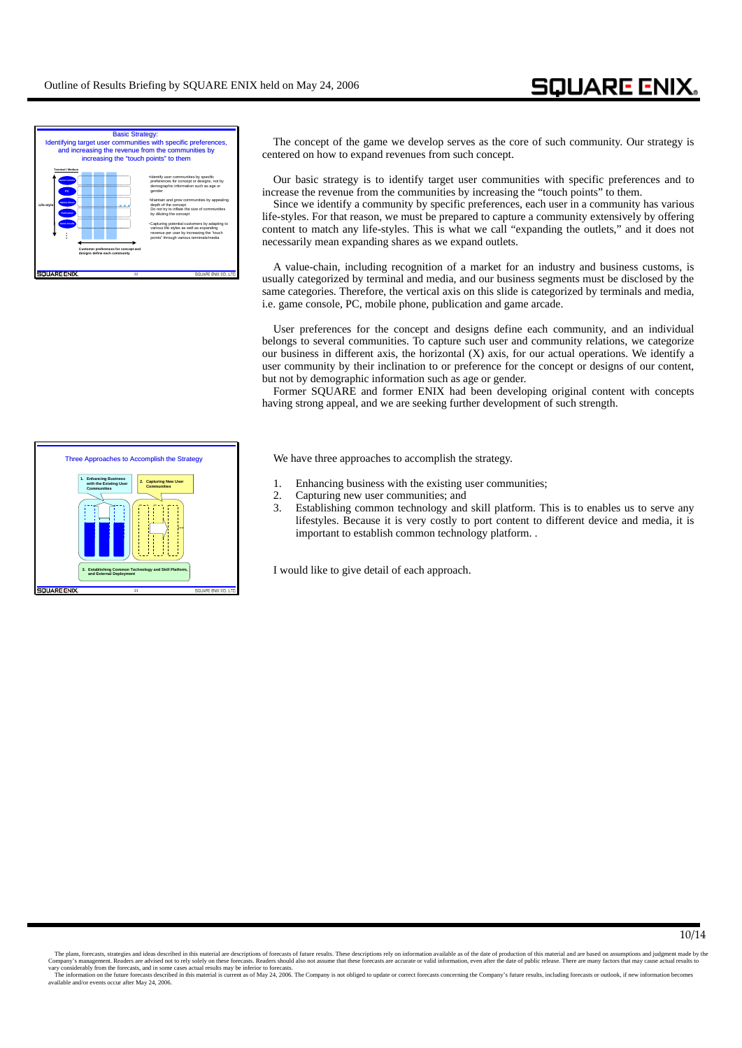

The concept of the game we develop serves as the core of such community. Our strategy is centered on how to expand revenues from such concept.

Our basic strategy is to identify target user communities with specific preferences and to increase the revenue from the communities by increasing the "touch points" to them.

Since we identify a community by specific preferences, each user in a community has various life-styles. For that reason, we must be prepared to capture a community extensively by offering content to match any life-styles. This is what we call "expanding the outlets," and it does not necessarily mean expanding shares as we expand outlets.

A value-chain, including recognition of a market for an industry and business customs, is usually categorized by terminal and media, and our business segments must be disclosed by the same categories. Therefore, the vertical axis on this slide is categorized by terminals and media, i.e. game console, PC, mobile phone, publication and game arcade.

User preferences for the concept and designs define each community, and an individual belongs to several communities. To capture such user and community relations, we categorize our business in different axis, the horizontal (X) axis, for our actual operations. We identify a user community by their inclination to or preference for the concept or designs of our content, but not by demographic information such as age or gender.

Former SQUARE and former ENIX had been developing original content with concepts having strong appeal, and we are seeking further development of such strength.

We have three approaches to accomplish the strategy.

- 1. Enhancing business with the existing user communities;
- 2. Capturing new user communities; and
- 3. Establishing common technology and skill platform. This is to enables us to serve any lifestyles. Because it is very costly to port content to different device and media, it is important to establish common technology platform. .

I would like to give detail of each approach.



The plans, forecasts, strategies and ideas described in this material are descriptions of forecasts of future results. These descriptions rely on information a wailable as of the date of production material and are based o vary considerably from the forecasts, and in some cases actual results may be inferior to forecasts.<br>The information on the future forecasts described in this material is current as of May 24, 2006. The Company is not obli

available and/or events occur after May 24, 2006.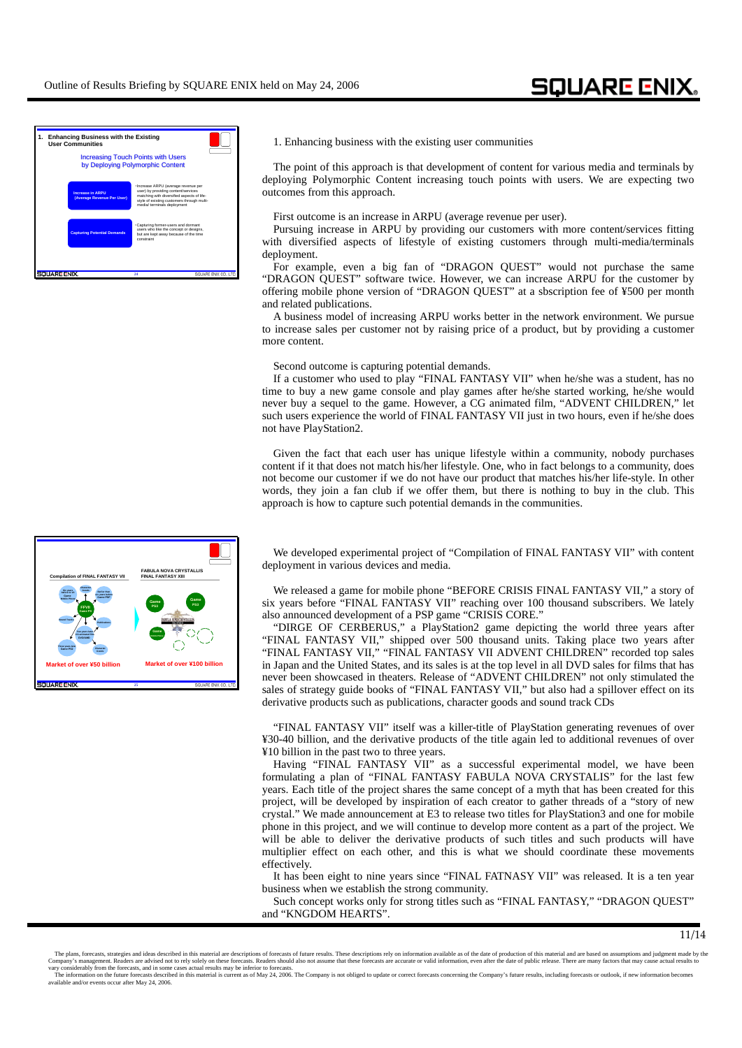

1. Enhancing business with the existing user communities

The point of this approach is that development of content for various media and terminals by deploying Polymorphic Content increasing touch points with users. We are expecting two outcomes from this approach.

First outcome is an increase in ARPU (average revenue per user).

Pursuing increase in ARPU by providing our customers with more content/services fitting with diversified aspects of lifestyle of existing customers through multi-media/terminals deployment.

For example, even a big fan of "DRAGON QUEST" would not purchase the same "DRAGON QUEST" software twice. However, we can increase ARPU for the customer by offering mobile phone version of "DRAGON QUEST" at a sbscription fee of ¥500 per month and related publications.

A business model of increasing ARPU works better in the network environment. We pursue to increase sales per customer not by raising price of a product, but by providing a customer more content.

Second outcome is capturing potential demands.

If a customer who used to play "FINAL FANTASY VII" when he/she was a student, has no time to buy a new game console and play games after he/she started working, he/she would never buy a sequel to the game. However, a CG animated film, "ADVENT CHILDREN," let such users experience the world of FINAL FANTASY VII just in two hours, even if he/she does not have PlayStation2.

Given the fact that each user has unique lifestyle within a community, nobody purchases content if it that does not match his/her lifestyle. One, who in fact belongs to a community, does not become our customer if we do not have our product that matches his/her life-style. In other words, they join a fan club if we offer them, but there is nothing to buy in the club. This approach is how to capture such potential demands in the communities.

We developed experimental project of "Compilation of FINAL FANTASY VII" with content deployment in various devices and media.

We released a game for mobile phone "BEFORE CRISIS FINAL FANTASY VII," a story of six years before "FINAL FANTASY VII" reaching over 100 thousand subscribers. We lately also announced development of a PSP game "CRISIS CORE."

"DIRGE OF CERBERUS," a PlayStation2 game depicting the world three years after "FINAL FANTASY VII," shipped over 500 thousand units. Taking place two years after "FINAL FANTASY VII," "FINAL FANTASY VII ADVENT CHILDREN" recorded top sales in Japan and the United States, and its sales is at the top level in all DVD sales for films that has never been showcased in theaters. Release of "ADVENT CHILDREN" not only stimulated the sales of strategy guide books of "FINAL FANTASY VII," but also had a spillover effect on its derivative products such as publications, character goods and sound track CDs

"FINAL FANTASY VII" itself was a killer-title of PlayStation generating revenues of over ¥30-40 billion, and the derivative products of the title again led to additional revenues of over ¥10 billion in the past two to three years.

Having "FINAL FANTASY VII" as a successful experimental model, we have been formulating a plan of "FINAL FANTASY FABULA NOVA CRYSTALIS" for the last few years. Each title of the project shares the same concept of a myth that has been created for this project, will be developed by inspiration of each creator to gather threads of a "story of new crystal." We made announcement at E3 to release two titles for PlayStation3 and one for mobile phone in this project, and we will continue to develop more content as a part of the project. We will be able to deliver the derivative products of such titles and such products will have multiplier effect on each other, and this is what we should coordinate these movements effectively.

It has been eight to nine years since "FINAL FATNASY VII" was released. It is a ten year business when we establish the strong community.

Such concept works only for strong titles such as "FINAL FANTASY," "DRAGON QUEST" and "KNGDOM HEARTS".



The plans, forecasts, strategies and ideas described in this material are descriptions of forecasts of future results. These descriptions rely on information a wailable as of the date of production material and are based o vary considerably from the forecasts, and in some cases actual results may be inferior to forecasts.<br>The information on the future forecasts described in this material is current as of May 24, 2006. The Company is not obli available and/or events occur after May 24, 2006.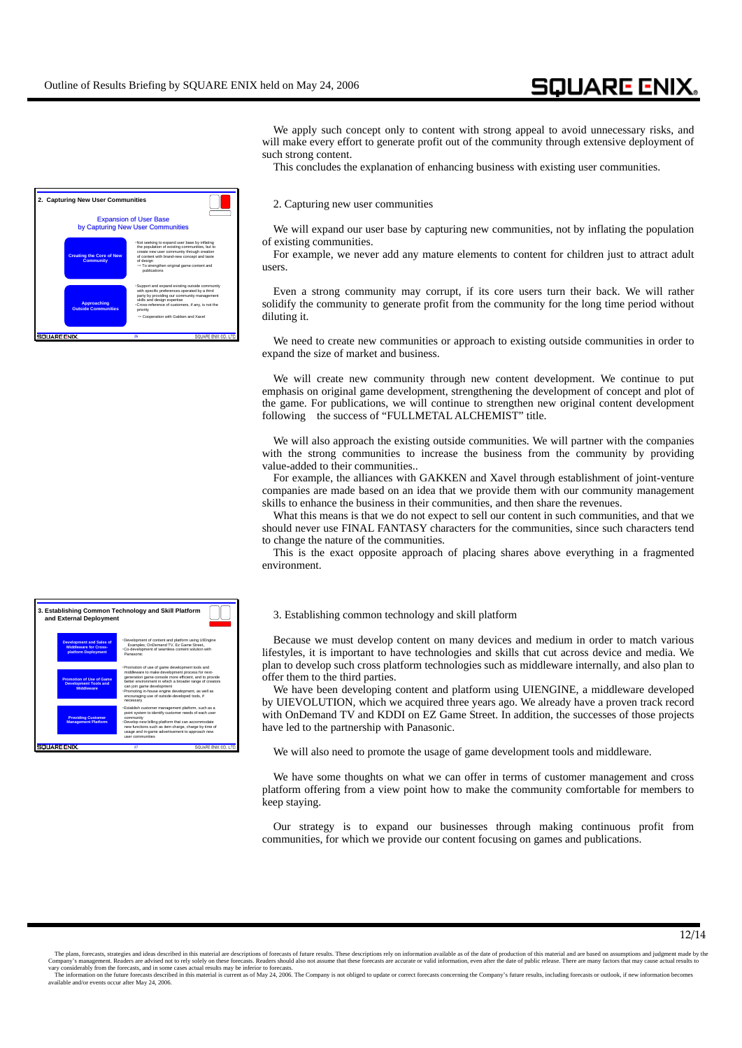We apply such concept only to content with strong appeal to avoid unnecessary risks, and will make every effort to generate profit out of the community through extensive deployment of such strong content.

This concludes the explanation of enhancing business with existing user communities.

#### 2. Capturing new user communities

We will expand our user base by capturing new communities, not by inflating the population of existing communities.

For example, we never add any mature elements to content for children just to attract adult users.

Even a strong community may corrupt, if its core users turn their back. We will rather solidify the community to generate profit from the community for the long time period without diluting it.

We need to create new communities or approach to existing outside communities in order to expand the size of market and business.

We will create new community through new content development. We continue to put emphasis on original game development, strengthening the development of concept and plot of the game. For publications, we will continue to strengthen new original content development following the success of "FULLMETAL ALCHEMIST" title.

We will also approach the existing outside communities. We will partner with the companies with the strong communities to increase the business from the community by providing value-added to their communities..

For example, the alliances with GAKKEN and Xavel through establishment of joint-venture companies are made based on an idea that we provide them with our community management skills to enhance the business in their communities, and then share the revenues.

What this means is that we do not expect to sell our content in such communities, and that we should never use FINAL FANTASY characters for the communities, since such characters tend to change the nature of the communities.

This is the exact opposite approach of placing shares above everything in a fragmented environment.

### **and External Deployment** 3. Establishing common technology and skill platform

Because we must develop content on many devices and medium in order to match various lifestyles, it is important to have technologies and skills that cut across device and media. We plan to develop such cross platform technologies such as middleware internally, and also plan to offer them to the third parties.

We have been developing content and platform using UIENGINE, a middleware developed by UIEVOLUTION, which we acquired three years ago. We already have a proven track record with OnDemand TV and KDDI on EZ Game Street. In addition, the successes of those projects have led to the partnership with Panasonic.

We will also need to promote the usage of game development tools and middleware.

We have some thoughts on what we can offer in terms of customer management and cross platform offering from a view point how to make the community comfortable for members to keep staying.

Our strategy is to expand our businesses through making continuous profit from communities, for which we provide our content focusing on games and publications.

| . Not seeking to expand user base by inflating<br>the population of existing communities, but to<br>create new user community through creation<br><b>Creating the Core of New</b><br>of content with brand-new concept and taste<br><b>Community</b><br>of design<br>- To strengthen original game content and<br>publications<br>· Support and expand existing outside community<br>with specific preferences operated by a third<br>party by providing our community management<br>skills and design expertise<br><b>Approaching</b><br>·Cross-reference of customers, if any, is not the<br><b>Outside Communities</b><br>priority<br>- Cooperation with Gakken and Xavel | <b>Expansion of User Base</b><br>by Capturing New User Communities |
|------------------------------------------------------------------------------------------------------------------------------------------------------------------------------------------------------------------------------------------------------------------------------------------------------------------------------------------------------------------------------------------------------------------------------------------------------------------------------------------------------------------------------------------------------------------------------------------------------------------------------------------------------------------------------|--------------------------------------------------------------------|
|                                                                                                                                                                                                                                                                                                                                                                                                                                                                                                                                                                                                                                                                              |                                                                    |
|                                                                                                                                                                                                                                                                                                                                                                                                                                                                                                                                                                                                                                                                              |                                                                    |

| and External Deployment                                                                | 3. Establishing Common Technology and Skill Platform                                                                                                                                                                                                                                                                                                                         |
|----------------------------------------------------------------------------------------|------------------------------------------------------------------------------------------------------------------------------------------------------------------------------------------------------------------------------------------------------------------------------------------------------------------------------------------------------------------------------|
| <b>Development and Sales of</b><br><b>Middleware for Cross-</b><br>platform Deployment | · Development of content and platform using UIEngine<br>Examples: OnDemand TV. Ez Game Street.<br>. Co-development of seamless content solution with<br>Panasonic                                                                                                                                                                                                            |
| <b>Promotion of Use of Game</b><br><b>Development Tools and</b><br><b>Middleware</b>   | · Promotion of use of game development tools and<br>middleware to make development process for next-<br>generation game console more efficient, and to provide<br>better environment in which a broader range of creators<br>can ioin game development<br>· Promoting in-house engine development, as well as<br>encouraging use of outside-developed tools, if<br>necessary |
| <b>Providing Customer</b><br><b>Management Platform</b>                                | · Establish customer management platform, such as a<br>point system to identify customer needs of each user<br>community<br>· Develop new billing platform that can accommodate<br>new functions such as item charge, charge by time of<br>usage and in-game advertisement to approach new<br><b>USAr communities</b>                                                        |
|                                                                                        | SQUARE ENX CO.<br>27                                                                                                                                                                                                                                                                                                                                                         |

The plans, forecasts, strategies and ideas described in this material are descriptions of forecasts of future results. These descriptions rely on information a wailable as of the date of production material and are based o vary considerably from the forecasts, and in some cases actual results may be inferior to forecasts.<br>The information on the future forecasts described in this material is current as of May 24, 2006. The Company is not obli

 <sup>12/14</sup>

available and/or events occur after May 24, 2006.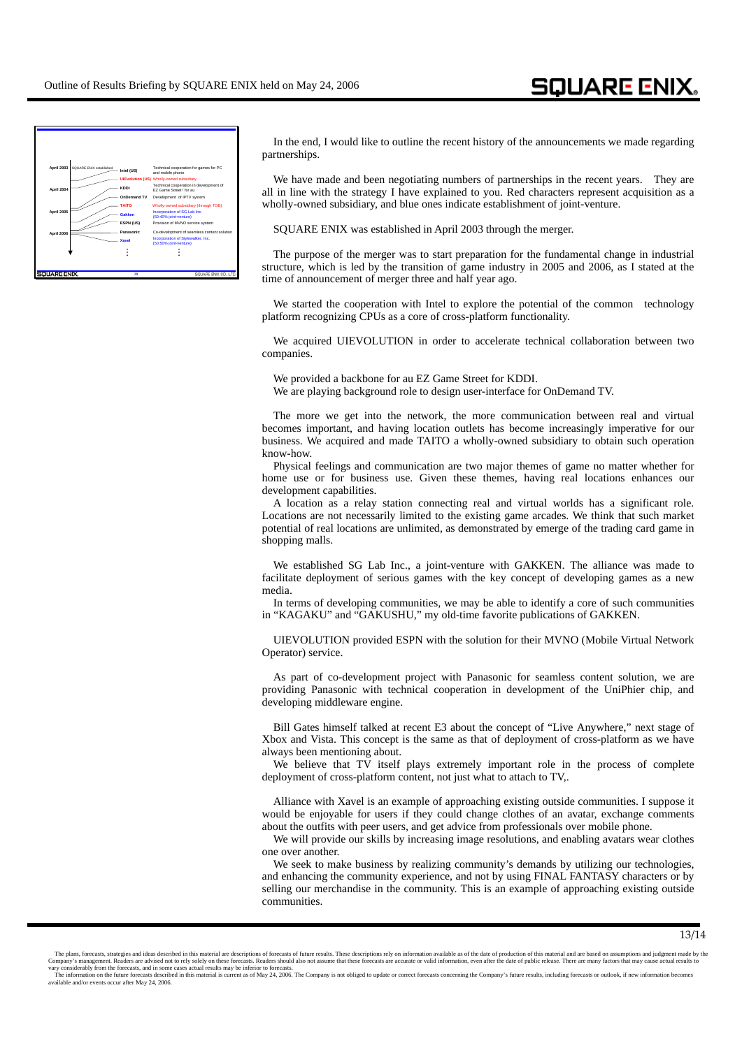

In the end, I would like to outline the recent history of the announcements we made regarding partnerships.

We have made and been negotiating numbers of partnerships in the recent years. They are all in line with the strategy I have explained to you. Red characters represent acquisition as a wholly-owned subsidiary, and blue ones indicate establishment of joint-venture.

SQUARE ENIX was established in April 2003 through the merger.

The purpose of the merger was to start preparation for the fundamental change in industrial structure, which is led by the transition of game industry in 2005 and 2006, as I stated at the time of announcement of merger three and half year ago.

We started the cooperation with Intel to explore the potential of the common technology platform recognizing CPUs as a core of cross-platform functionality.

We acquired UIEVOLUTION in order to accelerate technical collaboration between two companies.

We provided a backbone for au EZ Game Street for KDDI.

We are playing background role to design user-interface for OnDemand TV.

The more we get into the network, the more communication between real and virtual becomes important, and having location outlets has become increasingly imperative for our business. We acquired and made TAITO a wholly-owned subsidiary to obtain such operation know-how.

Physical feelings and communication are two major themes of game no matter whether for home use or for business use. Given these themes, having real locations enhances our development capabilities.

A location as a relay station connecting real and virtual worlds has a significant role. Locations are not necessarily limited to the existing game arcades. We think that such market potential of real locations are unlimited, as demonstrated by emerge of the trading card game in shopping malls.

We established SG Lab Inc., a joint-venture with GAKKEN. The alliance was made to facilitate deployment of serious games with the key concept of developing games as a new media.

In terms of developing communities, we may be able to identify a core of such communities in "KAGAKU" and "GAKUSHU," my old-time favorite publications of GAKKEN.

UIEVOLUTION provided ESPN with the solution for their MVNO (Mobile Virtual Network Operator) service.

As part of co-development project with Panasonic for seamless content solution, we are providing Panasonic with technical cooperation in development of the UniPhier chip, and developing middleware engine.

Bill Gates himself talked at recent E3 about the concept of "Live Anywhere," next stage of Xbox and Vista. This concept is the same as that of deployment of cross-platform as we have always been mentioning about.

We believe that TV itself plays extremely important role in the process of complete deployment of cross-platform content, not just what to attach to TV,.

Alliance with Xavel is an example of approaching existing outside communities. I suppose it would be enjoyable for users if they could change clothes of an avatar, exchange comments about the outfits with peer users, and get advice from professionals over mobile phone.

We will provide our skills by increasing image resolutions, and enabling avatars wear clothes one over another.

We seek to make business by realizing community's demands by utilizing our technologies, and enhancing the community experience, and not by using FINAL FANTASY characters or by selling our merchandise in the community. This is an example of approaching existing outside communities.

The plans, forecasts, strategies and ideas described in this material are descriptions of forecasts of future results. These descriptions rely on information a wailable as of the date of production material and are based o vary considerably from the forecasts, and in some cases actual results may be inferior to forecasts.<br>The information on the future forecasts described in this material is current as of May 24, 2006. The Company is not obli

available and/or events occur after May 24, 2006.